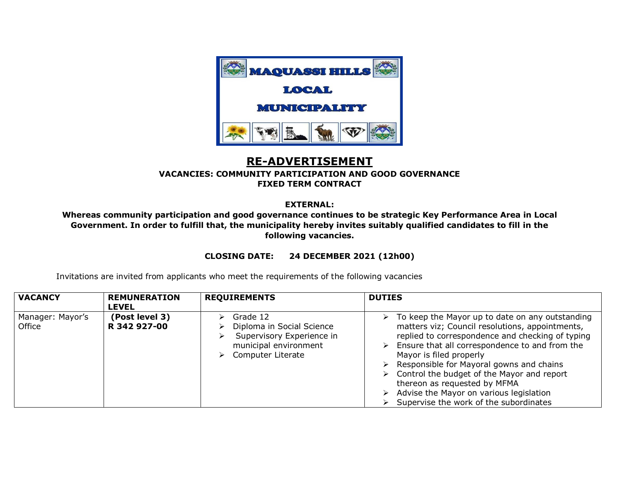

## **RE-ADVERTISEMENT**

## **VACANCIES: COMMUNITY PARTICIPATION AND GOOD GOVERNANCE FIXED TERM CONTRACT**

## **EXTERNAL:**

**Whereas community participation and good governance continues to be strategic Key Performance Area in Local Government. In order to fulfill that, the municipality hereby invites suitably qualified candidates to fill in the following vacancies.**

## **CLOSING DATE: 24 DECEMBER 2021 (12h00)**

Invitations are invited from applicants who meet the requirements of the following vacancies

| <b>VACANCY</b>             | <b>REMUNERATION</b><br><b>LEVEL</b> | <b>REQUIREMENTS</b>                                                                                              | <b>DUTIES</b>                                                                                                                                                                                                                                                                                                                                                                                                                                                                         |
|----------------------------|-------------------------------------|------------------------------------------------------------------------------------------------------------------|---------------------------------------------------------------------------------------------------------------------------------------------------------------------------------------------------------------------------------------------------------------------------------------------------------------------------------------------------------------------------------------------------------------------------------------------------------------------------------------|
| Manager: Mayor's<br>Office | (Post level 3)<br>R 342 927-00      | Grade 12<br>Diploma in Social Science<br>Supervisory Experience in<br>municipal environment<br>Computer Literate | To keep the Mayor up to date on any outstanding<br>➤<br>matters viz; Council resolutions, appointments,<br>replied to correspondence and checking of typing<br>Ensure that all correspondence to and from the<br>➤<br>Mayor is filed properly<br>Responsible for Mayoral gowns and chains<br>$\triangleright$<br>Control the budget of the Mayor and report<br>≻<br>thereon as requested by MFMA<br>Advise the Mayor on various legislation<br>Supervise the work of the subordinates |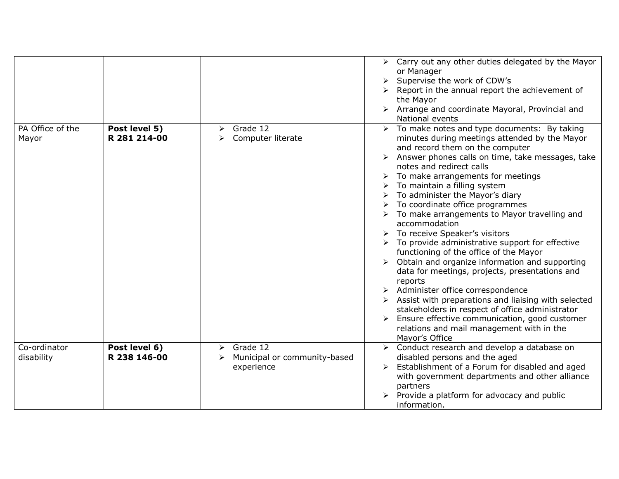|                            |                               |                                                                  | Carry out any other duties delegated by the Mayor<br>➤<br>or Manager<br>Supervise the work of CDW's<br>Report in the annual report the achievement of<br>the Mayor<br>Arrange and coordinate Mayoral, Provincial and<br>➤<br>National events                                                                                                                                                                                                                                                                                                                                                                                                                                                                                                                                                                                                                                                                                                |
|----------------------------|-------------------------------|------------------------------------------------------------------|---------------------------------------------------------------------------------------------------------------------------------------------------------------------------------------------------------------------------------------------------------------------------------------------------------------------------------------------------------------------------------------------------------------------------------------------------------------------------------------------------------------------------------------------------------------------------------------------------------------------------------------------------------------------------------------------------------------------------------------------------------------------------------------------------------------------------------------------------------------------------------------------------------------------------------------------|
| PA Office of the<br>Mayor  | Post level 5)<br>R 281 214-00 | Grade 12<br>➤<br>Computer literate<br>➤                          | To make notes and type documents: By taking<br>➤<br>minutes during meetings attended by the Mayor<br>and record them on the computer<br>Answer phones calls on time, take messages, take<br>notes and redirect calls<br>To make arrangements for meetings<br>To maintain a filling system<br>To administer the Mayor's diary<br>To coordinate office programmes<br>To make arrangements to Mayor travelling and<br>accommodation<br>To receive Speaker's visitors<br>To provide administrative support for effective<br>functioning of the office of the Mayor<br>Obtain and organize information and supporting<br>data for meetings, projects, presentations and<br>reports<br>Administer office correspondence<br>Assist with preparations and liaising with selected<br>stakeholders in respect of office administrator<br>Ensure effective communication, good customer<br>relations and mail management with in the<br>Mayor's Office |
| Co-ordinator<br>disability | Post level 6)<br>R 238 146-00 | Grade 12<br>➤<br>Municipal or community-based<br>➤<br>experience | Conduct research and develop a database on<br>$\blacktriangleright$<br>disabled persons and the aged<br>Establishment of a Forum for disabled and aged<br>with government departments and other alliance<br>partners<br>Provide a platform for advocacy and public<br>information.                                                                                                                                                                                                                                                                                                                                                                                                                                                                                                                                                                                                                                                          |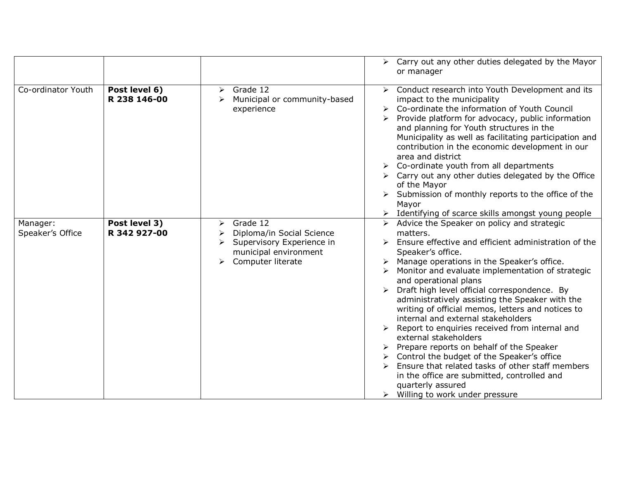|                              |                               |                                                                                                                            | Carry out any other duties delegated by the Mayor<br>$\blacktriangleright$<br>or manager                                                                                                                                                                                                                                                                                                                                                                                                                                                                                                                                                                                                                                                                                                      |
|------------------------------|-------------------------------|----------------------------------------------------------------------------------------------------------------------------|-----------------------------------------------------------------------------------------------------------------------------------------------------------------------------------------------------------------------------------------------------------------------------------------------------------------------------------------------------------------------------------------------------------------------------------------------------------------------------------------------------------------------------------------------------------------------------------------------------------------------------------------------------------------------------------------------------------------------------------------------------------------------------------------------|
| Co-ordinator Youth           | Post level 6)<br>R 238 146-00 | Grade 12<br>➤<br>Municipal or community-based<br>➤<br>experience                                                           | Conduct research into Youth Development and its<br>➤<br>impact to the municipality<br>Co-ordinate the information of Youth Council<br>Provide platform for advocacy, public information<br>and planning for Youth structures in the<br>Municipality as well as facilitating participation and<br>contribution in the economic development in our<br>area and district<br>Co-ordinate youth from all departments<br>Carry out any other duties delegated by the Office<br>of the Mayor<br>Submission of monthly reports to the office of the<br>Mayor<br>> Identifying of scarce skills amongst young people                                                                                                                                                                                   |
| Manager:<br>Speaker's Office | Post level 3)<br>R 342 927-00 | Grade 12<br>➤<br>Diploma/in Social Science<br>➤<br>Supervisory Experience in<br>municipal environment<br>Computer literate | Advice the Speaker on policy and strategic<br>matters.<br>Ensure effective and efficient administration of the<br>Speaker's office.<br>> Manage operations in the Speaker's office.<br>Monitor and evaluate implementation of strategic<br>and operational plans<br>Draft high level official correspondence. By<br>administratively assisting the Speaker with the<br>writing of official memos, letters and notices to<br>internal and external stakeholders<br>Report to enquiries received from internal and<br>external stakeholders<br>Prepare reports on behalf of the Speaker<br>Control the budget of the Speaker's office<br>Ensure that related tasks of other staff members<br>in the office are submitted, controlled and<br>quarterly assured<br>Willing to work under pressure |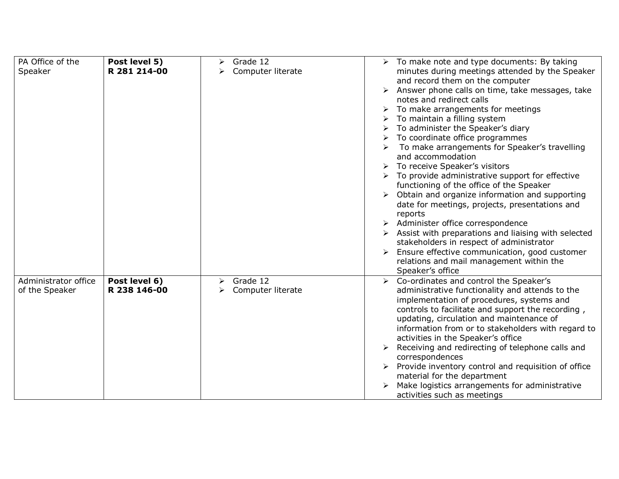| PA Office of the     | Post level 5) | Grade 12<br>➤          | $\triangleright$ To make note and type documents: By taking              |
|----------------------|---------------|------------------------|--------------------------------------------------------------------------|
| Speaker              | R 281 214-00  | Computer literate<br>➤ | minutes during meetings attended by the Speaker                          |
|                      |               |                        | and record them on the computer                                          |
|                      |               |                        | Answer phone calls on time, take messages, take<br>$\blacktriangleright$ |
|                      |               |                        | notes and redirect calls                                                 |
|                      |               |                        | $\triangleright$ To make arrangements for meetings                       |
|                      |               |                        | To maintain a filling system                                             |
|                      |               |                        | To administer the Speaker's diary                                        |
|                      |               |                        | To coordinate office programmes                                          |
|                      |               |                        | To make arrangements for Speaker's travelling                            |
|                      |               |                        | and accommodation<br>To receive Speaker's visitors                       |
|                      |               |                        | To provide administrative support for effective                          |
|                      |               |                        | functioning of the office of the Speaker                                 |
|                      |               |                        | Obtain and organize information and supporting                           |
|                      |               |                        | date for meetings, projects, presentations and                           |
|                      |               |                        | reports                                                                  |
|                      |               |                        | > Administer office correspondence                                       |
|                      |               |                        | Assist with preparations and liaising with selected                      |
|                      |               |                        | stakeholders in respect of administrator                                 |
|                      |               |                        | Ensure effective communication, good customer                            |
|                      |               |                        | relations and mail management within the                                 |
|                      |               |                        | Speaker's office                                                         |
| Administrator office | Post level 6) | Grade 12<br>➤          | Co-ordinates and control the Speaker's<br>$\triangleright$               |
| of the Speaker       | R 238 146-00  | Computer literate      | administrative functionality and attends to the                          |
|                      |               |                        | implementation of procedures, systems and                                |
|                      |               |                        | controls to facilitate and support the recording,                        |
|                      |               |                        | updating, circulation and maintenance of                                 |
|                      |               |                        | information from or to stakeholders with regard to                       |
|                      |               |                        | activities in the Speaker's office                                       |
|                      |               |                        | Receiving and redirecting of telephone calls and<br>correspondences      |
|                      |               |                        | Provide inventory control and requisition of office                      |
|                      |               |                        | material for the department                                              |
|                      |               |                        | Make logistics arrangements for administrative                           |
|                      |               |                        | activities such as meetings                                              |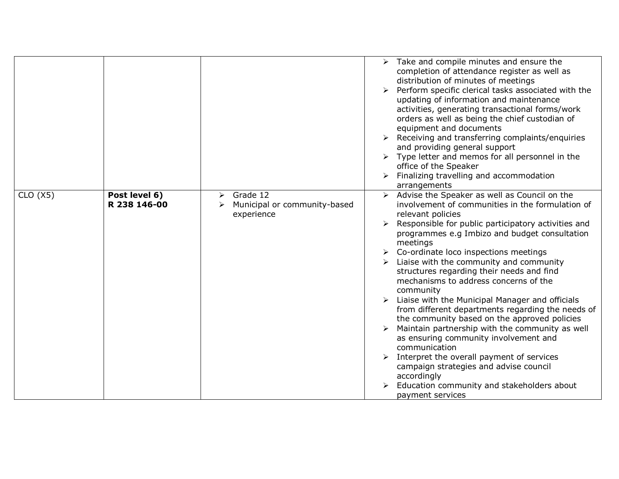|         |                                    |                                                        | Take and compile minutes and ensure the<br>completion of attendance register as well as<br>distribution of minutes of meetings<br>Perform specific clerical tasks associated with the<br>updating of information and maintenance<br>activities, generating transactional forms/work<br>orders as well as being the chief custodian of<br>equipment and documents<br>$\triangleright$ Receiving and transferring complaints/enquiries<br>and providing general support<br>$\triangleright$ Type letter and memos for all personnel in the<br>office of the Speaker                                                                                                                                                                                                                                                                                                             |
|---------|------------------------------------|--------------------------------------------------------|-------------------------------------------------------------------------------------------------------------------------------------------------------------------------------------------------------------------------------------------------------------------------------------------------------------------------------------------------------------------------------------------------------------------------------------------------------------------------------------------------------------------------------------------------------------------------------------------------------------------------------------------------------------------------------------------------------------------------------------------------------------------------------------------------------------------------------------------------------------------------------|
|         |                                    |                                                        | Finalizing travelling and accommodation<br>arrangements                                                                                                                                                                                                                                                                                                                                                                                                                                                                                                                                                                                                                                                                                                                                                                                                                       |
| CLO(X5) | Post level 6)<br>⋗<br>R 238 146-00 | Grade 12<br>Municipal or community-based<br>experience | Advise the Speaker as well as Council on the<br>involvement of communities in the formulation of<br>relevant policies<br>Responsible for public participatory activities and<br>programmes e.g Imbizo and budget consultation<br>meetings<br>Co-ordinate loco inspections meetings<br>Liaise with the community and community<br>structures regarding their needs and find<br>mechanisms to address concerns of the<br>community<br>Liaise with the Municipal Manager and officials<br>from different departments regarding the needs of<br>the community based on the approved policies<br>Maintain partnership with the community as well<br>as ensuring community involvement and<br>communication<br>Interpret the overall payment of services<br>campaign strategies and advise council<br>accordingly<br>Education community and stakeholders about<br>payment services |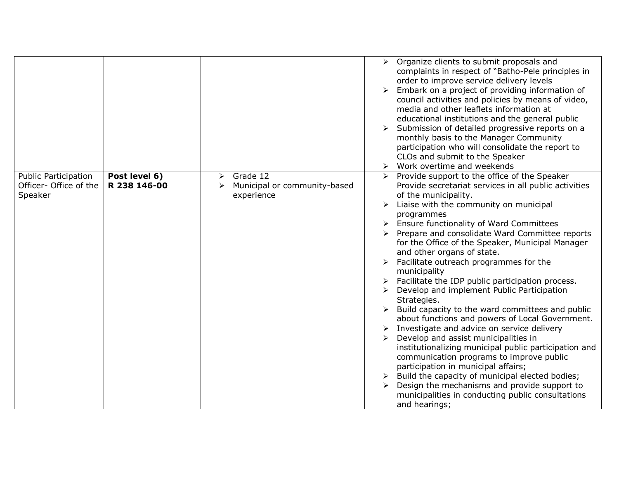|                                                                  |                               |                                                                  | Organize clients to submit proposals and<br>➤<br>complaints in respect of "Batho-Pele principles in<br>order to improve service delivery levels<br>Embark on a project of providing information of<br>council activities and policies by means of video,<br>media and other leaflets information at<br>educational institutions and the general public<br>Submission of detailed progressive reports on a<br>monthly basis to the Manager Community<br>participation who will consolidate the report to<br>CLOs and submit to the Speaker<br>Work overtime and weekends<br>➤                                                                                                                                                                                                                                                                                                                                                                                                                                                                                           |
|------------------------------------------------------------------|-------------------------------|------------------------------------------------------------------|------------------------------------------------------------------------------------------------------------------------------------------------------------------------------------------------------------------------------------------------------------------------------------------------------------------------------------------------------------------------------------------------------------------------------------------------------------------------------------------------------------------------------------------------------------------------------------------------------------------------------------------------------------------------------------------------------------------------------------------------------------------------------------------------------------------------------------------------------------------------------------------------------------------------------------------------------------------------------------------------------------------------------------------------------------------------|
| <b>Public Participation</b><br>Officer- Office of the<br>Speaker | Post level 6)<br>R 238 146-00 | Grade 12<br>➤<br>Municipal or community-based<br>➤<br>experience | Provide support to the office of the Speaker<br>Provide secretariat services in all public activities<br>of the municipality.<br>Liaise with the community on municipal<br>➤<br>programmes<br>Ensure functionality of Ward Committees<br>Prepare and consolidate Ward Committee reports<br>for the Office of the Speaker, Municipal Manager<br>and other organs of state.<br>Facilitate outreach programmes for the<br>municipality<br>Facilitate the IDP public participation process.<br>Develop and implement Public Participation<br>Strategies.<br>Build capacity to the ward committees and public<br>about functions and powers of Local Government.<br>Investigate and advice on service delivery<br>Develop and assist municipalities in<br>institutionalizing municipal public participation and<br>communication programs to improve public<br>participation in municipal affairs;<br>Build the capacity of municipal elected bodies;<br>Design the mechanisms and provide support to<br>municipalities in conducting public consultations<br>and hearings; |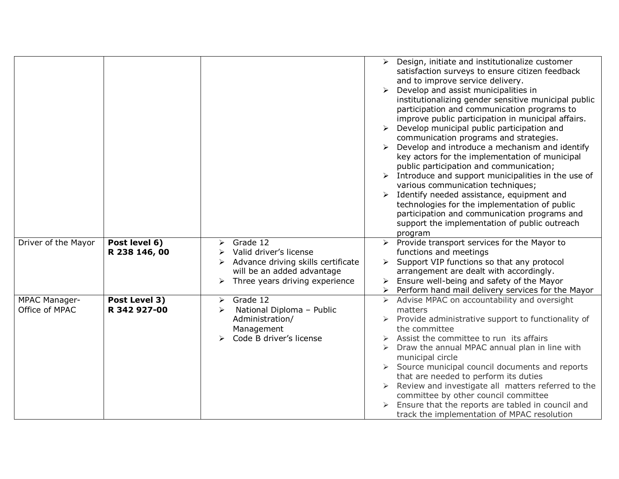|                                        |                                |                                                                                                                                                    | ➤<br>➤  | Design, initiate and institutionalize customer<br>satisfaction surveys to ensure citizen feedback<br>and to improve service delivery.<br>Develop and assist municipalities in<br>institutionalizing gender sensitive municipal public<br>participation and communication programs to<br>improve public participation in municipal affairs.<br>Develop municipal public participation and<br>communication programs and strategies.<br>Develop and introduce a mechanism and identify<br>key actors for the implementation of municipal<br>public participation and communication;<br>$\triangleright$ Introduce and support municipalities in the use of<br>various communication techniques;<br>Identify needed assistance, equipment and<br>technologies for the implementation of public<br>participation and communication programs and<br>support the implementation of public outreach<br>program |
|----------------------------------------|--------------------------------|----------------------------------------------------------------------------------------------------------------------------------------------------|---------|---------------------------------------------------------------------------------------------------------------------------------------------------------------------------------------------------------------------------------------------------------------------------------------------------------------------------------------------------------------------------------------------------------------------------------------------------------------------------------------------------------------------------------------------------------------------------------------------------------------------------------------------------------------------------------------------------------------------------------------------------------------------------------------------------------------------------------------------------------------------------------------------------------|
| Driver of the Mayor                    | Post level 6)<br>R 238 146, 00 | Grade 12<br>➤<br>Valid driver's license<br>≻<br>Advance driving skills certificate<br>will be an added advantage<br>Three years driving experience |         | Provide transport services for the Mayor to<br>functions and meetings<br>Support VIP functions so that any protocol<br>arrangement are dealt with accordingly.<br>Ensure well-being and safety of the Mayor<br>Perform hand mail delivery services for the Mayor                                                                                                                                                                                                                                                                                                                                                                                                                                                                                                                                                                                                                                        |
| <b>MPAC Manager-</b><br>Office of MPAC | Post Level 3)<br>R 342 927-00  | Grade 12<br>➤<br>National Diploma - Public<br>≻<br>Administration/<br>Management<br>Code B driver's license                                        | matters | Advise MPAC on accountability and oversight<br>> Provide administrative support to functionality of<br>the committee<br>Assist the committee to run its affairs<br>Draw the annual MPAC annual plan in line with<br>municipal circle<br>Source municipal council documents and reports<br>that are needed to perform its duties<br>Review and investigate all matters referred to the<br>committee by other council committee<br>Ensure that the reports are tabled in council and<br>track the implementation of MPAC resolution                                                                                                                                                                                                                                                                                                                                                                       |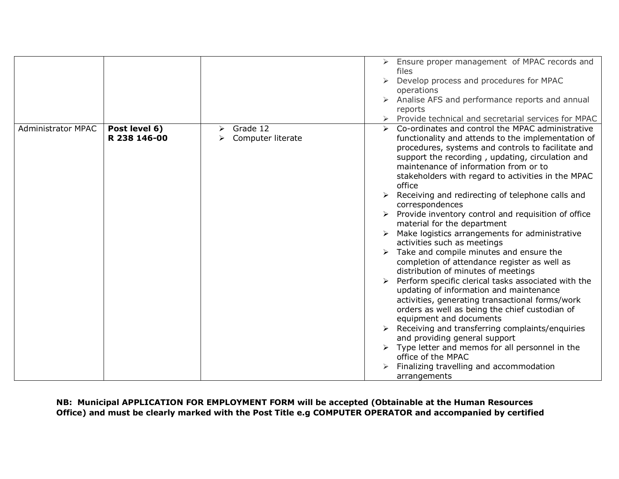|                           |                               |                                    | Ensure proper management of MPAC records and<br>$\blacktriangleright$                                                                                                                                                                                                                                                                                                                                                                                                                                                                                                                                                                                                                                                                                                                                                                                                                                                                                                                                                                                                                                                                              |
|---------------------------|-------------------------------|------------------------------------|----------------------------------------------------------------------------------------------------------------------------------------------------------------------------------------------------------------------------------------------------------------------------------------------------------------------------------------------------------------------------------------------------------------------------------------------------------------------------------------------------------------------------------------------------------------------------------------------------------------------------------------------------------------------------------------------------------------------------------------------------------------------------------------------------------------------------------------------------------------------------------------------------------------------------------------------------------------------------------------------------------------------------------------------------------------------------------------------------------------------------------------------------|
|                           |                               |                                    | files                                                                                                                                                                                                                                                                                                                                                                                                                                                                                                                                                                                                                                                                                                                                                                                                                                                                                                                                                                                                                                                                                                                                              |
|                           |                               |                                    | Develop process and procedures for MPAC<br>➤                                                                                                                                                                                                                                                                                                                                                                                                                                                                                                                                                                                                                                                                                                                                                                                                                                                                                                                                                                                                                                                                                                       |
|                           |                               |                                    | operations                                                                                                                                                                                                                                                                                                                                                                                                                                                                                                                                                                                                                                                                                                                                                                                                                                                                                                                                                                                                                                                                                                                                         |
|                           |                               |                                    | Analise AFS and performance reports and annual                                                                                                                                                                                                                                                                                                                                                                                                                                                                                                                                                                                                                                                                                                                                                                                                                                                                                                                                                                                                                                                                                                     |
|                           |                               |                                    | reports                                                                                                                                                                                                                                                                                                                                                                                                                                                                                                                                                                                                                                                                                                                                                                                                                                                                                                                                                                                                                                                                                                                                            |
|                           |                               |                                    | Provide technical and secretarial services for MPAC                                                                                                                                                                                                                                                                                                                                                                                                                                                                                                                                                                                                                                                                                                                                                                                                                                                                                                                                                                                                                                                                                                |
| <b>Administrator MPAC</b> | Post level 6)<br>R 238 146-00 | Grade 12<br>≻<br>Computer literate | Co-ordinates and control the MPAC administrative<br>functionality and attends to the implementation of<br>procedures, systems and controls to facilitate and<br>support the recording, updating, circulation and<br>maintenance of information from or to<br>stakeholders with regard to activities in the MPAC<br>office<br>Receiving and redirecting of telephone calls and<br>correspondences<br>Provide inventory control and requisition of office<br>material for the department<br>Make logistics arrangements for administrative<br>activities such as meetings<br>Take and compile minutes and ensure the<br>completion of attendance register as well as<br>distribution of minutes of meetings<br>Perform specific clerical tasks associated with the<br>updating of information and maintenance<br>activities, generating transactional forms/work<br>orders as well as being the chief custodian of<br>equipment and documents<br>Receiving and transferring complaints/enquiries<br>and providing general support<br>Type letter and memos for all personnel in the<br>office of the MPAC<br>Finalizing travelling and accommodation |
|                           |                               |                                    | arrangements                                                                                                                                                                                                                                                                                                                                                                                                                                                                                                                                                                                                                                                                                                                                                                                                                                                                                                                                                                                                                                                                                                                                       |

**NB: Municipal APPLICATION FOR EMPLOYMENT FORM will be accepted (Obtainable at the Human Resources Office) and must be clearly marked with the Post Title e.g COMPUTER OPERATOR and accompanied by certified**